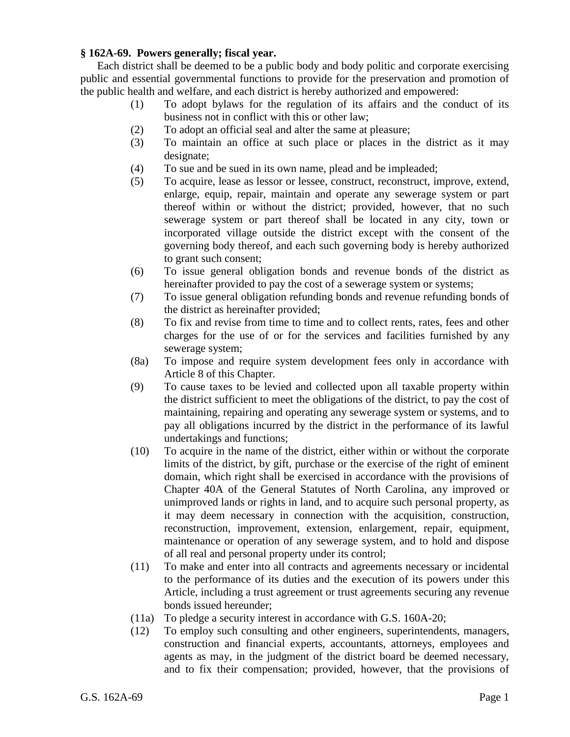## **§ 162A-69. Powers generally; fiscal year.**

Each district shall be deemed to be a public body and body politic and corporate exercising public and essential governmental functions to provide for the preservation and promotion of the public health and welfare, and each district is hereby authorized and empowered:

- (1) To adopt bylaws for the regulation of its affairs and the conduct of its business not in conflict with this or other law;
- (2) To adopt an official seal and alter the same at pleasure;
- (3) To maintain an office at such place or places in the district as it may designate;
- (4) To sue and be sued in its own name, plead and be impleaded;
- (5) To acquire, lease as lessor or lessee, construct, reconstruct, improve, extend, enlarge, equip, repair, maintain and operate any sewerage system or part thereof within or without the district; provided, however, that no such sewerage system or part thereof shall be located in any city, town or incorporated village outside the district except with the consent of the governing body thereof, and each such governing body is hereby authorized to grant such consent;
- (6) To issue general obligation bonds and revenue bonds of the district as hereinafter provided to pay the cost of a sewerage system or systems;
- (7) To issue general obligation refunding bonds and revenue refunding bonds of the district as hereinafter provided;
- (8) To fix and revise from time to time and to collect rents, rates, fees and other charges for the use of or for the services and facilities furnished by any sewerage system;
- (8a) To impose and require system development fees only in accordance with Article 8 of this Chapter.
- (9) To cause taxes to be levied and collected upon all taxable property within the district sufficient to meet the obligations of the district, to pay the cost of maintaining, repairing and operating any sewerage system or systems, and to pay all obligations incurred by the district in the performance of its lawful undertakings and functions;
- (10) To acquire in the name of the district, either within or without the corporate limits of the district, by gift, purchase or the exercise of the right of eminent domain, which right shall be exercised in accordance with the provisions of Chapter 40A of the General Statutes of North Carolina, any improved or unimproved lands or rights in land, and to acquire such personal property, as it may deem necessary in connection with the acquisition, construction, reconstruction, improvement, extension, enlargement, repair, equipment, maintenance or operation of any sewerage system, and to hold and dispose of all real and personal property under its control;
- (11) To make and enter into all contracts and agreements necessary or incidental to the performance of its duties and the execution of its powers under this Article, including a trust agreement or trust agreements securing any revenue bonds issued hereunder;
- (11a) To pledge a security interest in accordance with G.S. 160A-20;
- (12) To employ such consulting and other engineers, superintendents, managers, construction and financial experts, accountants, attorneys, employees and agents as may, in the judgment of the district board be deemed necessary, and to fix their compensation; provided, however, that the provisions of